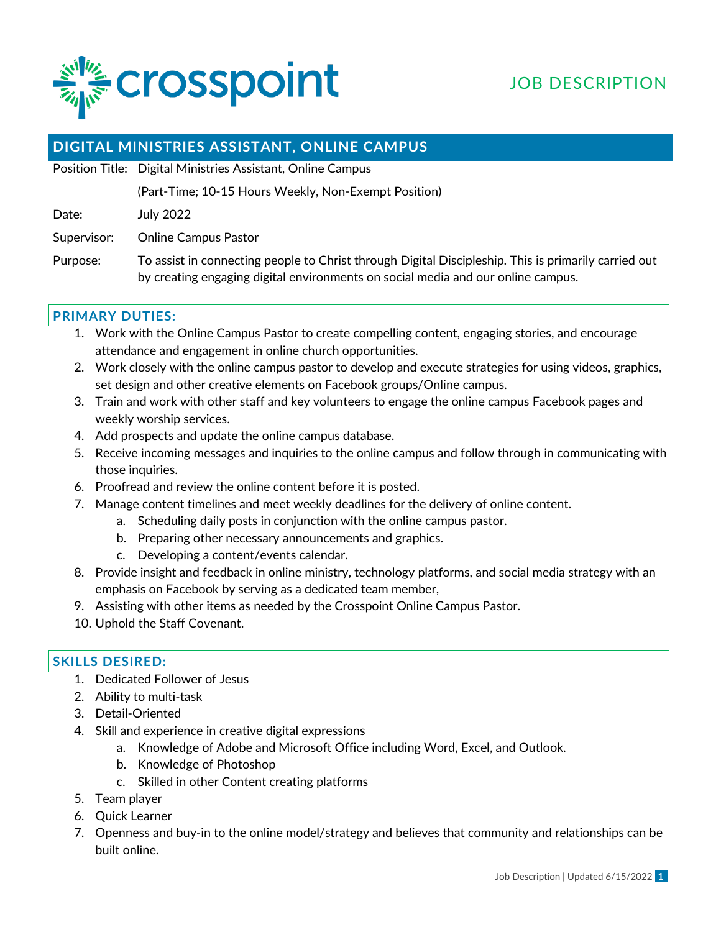

# JOB DESCRIPTION

# **DIGITAL MINISTRIES ASSISTANT, ONLINE CAMPUS**

Position Title: Digital Ministries Assistant, Online Campus

(Part-Time; 10-15 Hours Weekly, Non-Exempt Position)

Date: July 2022

Supervisor: Online Campus Pastor

Purpose: To assist in connecting people to Christ through Digital Discipleship. This is primarily carried out by creating engaging digital environments on social media and our online campus.

## **PRIMARY DUTIES:**

- 1. Work with the Online Campus Pastor to create compelling content, engaging stories, and encourage attendance and engagement in online church opportunities.
- 2. Work closely with the online campus pastor to develop and execute strategies for using videos, graphics, set design and other creative elements on Facebook groups/Online campus.
- 3. Train and work with other staff and key volunteers to engage the online campus Facebook pages and weekly worship services.
- 4. Add prospects and update the online campus database.
- 5. Receive incoming messages and inquiries to the online campus and follow through in communicating with those inquiries.
- 6. Proofread and review the online content before it is posted.
- 7. Manage content timelines and meet weekly deadlines for the delivery of online content.
	- a. Scheduling daily posts in conjunction with the online campus pastor.
		- b. Preparing other necessary announcements and graphics.
		- c. Developing a content/events calendar.
- 8. Provide insight and feedback in online ministry, technology platforms, and social media strategy with an emphasis on Facebook by serving as a dedicated team member,
- 9. Assisting with other items as needed by the Crosspoint Online Campus Pastor.
- 10. Uphold the Staff Covenant.

#### **SKILLS DESIRED:**

- 1. Dedicated Follower of Jesus
- 2. Ability to multi-task
- 3. Detail-Oriented
- 4. Skill and experience in creative digital expressions
	- a. Knowledge of Adobe and Microsoft Office including Word, Excel, and Outlook.
	- b. Knowledge of Photoshop
	- c. Skilled in other Content creating platforms
- 5. Team player
- 6. Quick Learner
- 7. Openness and buy-in to the online model/strategy and believes that community and relationships can be built online.